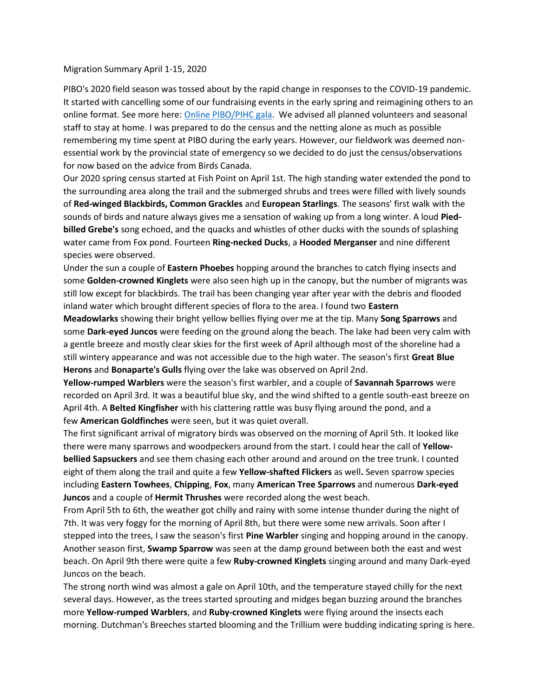## Migration Summary April 1-15, 2020

PIBO's 2020 field season was tossed about by the rapid change in responses to the COVID-19 pandemic. It started with cancelling some of our fundraising events in the early spring and reimagining others to an online format. See more here: [Online PIBO/PIHC gala.](http://pibo.ca/en/) We advised all planned volunteers and seasonal staff to stay at home. I was prepared to do the census and the netting alone as much as possible remembering my time spent at PIBO during the early years. However, our fieldwork was deemed nonessential work by the provincial state of emergency so we decided to do just the census/observations for now based on the advice from Birds Canada.

Our 2020 spring census started at Fish Point on April 1st. The high standing water extended the pond to the surrounding area along the trail and the submerged shrubs and trees were filled with lively sounds of **Red-winged Blackbirds, Common Grackles** and **European Starlings**. The seasons' first walk with the sounds of birds and nature always gives me a sensation of waking up from a long winter. A loud **Piedbilled Grebe's** song echoed, and the quacks and whistles of other ducks with the sounds of splashing water came from Fox pond. Fourteen **Ring-necked Ducks**, a **Hooded Merganser** and nine different species were observed.

Under the sun a couple of **Eastern Phoebes** hopping around the branches to catch flying insects and some **Golden-crowned Kinglets** were also seen high up in the canopy, but the number of migrants was still low except for blackbirds. The trail has been changing year after year with the debris and flooded inland water which brought different species of flora to the area. I found two **Eastern** 

**Meadowlarks** showing their bright yellow bellies flying over me at the tip. Many **Song Sparrows** and some **Dark-eyed Juncos** were feeding on the ground along the beach. The lake had been very calm with a gentle breeze and mostly clear skies for the first week of April although most of the shoreline had a still wintery appearance and was not accessible due to the high water. The season's first **Great Blue Herons** and **Bonaparte's Gulls** flying over the lake was observed on April 2nd.

**Yellow-rumped Warblers** were the season's first warbler, and a couple of **Savannah Sparrows** were recorded on April 3rd. It was a beautiful blue sky, and the wind shifted to a gentle south-east breeze on April 4th. A **Belted Kingfisher** with his clattering rattle was busy flying around the pond, and a few **American Goldfinches** were seen, but it was quiet overall.

The first significant arrival of migratory birds was observed on the morning of April 5th. It looked like there were many sparrows and woodpeckers around from the start. I could hear the call of **Yellowbellied Sapsuckers** and see them chasing each other around and around on the tree trunk. I counted eight of them along the trail and quite a few **Yellow-shafted Flickers** as well**.** Seven sparrow species including **Eastern Towhees**, **Chipping**, **Fox**, many **American Tree Sparrows** and numerous **Dark-eyed Juncos** and a couple of **Hermit Thrushes** were recorded along the west beach.

From April 5th to 6th, the weather got chilly and rainy with some intense thunder during the night of 7th. It was very foggy for the morning of April 8th, but there were some new arrivals. Soon after I stepped into the trees, I saw the season's first **Pine Warbler** singing and hopping around in the canopy. Another season first, **Swamp Sparrow** was seen at the damp ground between both the east and west beach. On April 9th there were quite a few **Ruby-crowned Kinglets** singing around and many Dark-eyed Juncos on the beach.

The strong north wind was almost a gale on April 10th, and the temperature stayed chilly for the next several days. However, as the trees started sprouting and midges began buzzing around the branches more **Yellow-rumped Warblers**, and **Ruby-crowned Kinglets** were flying around the insects each morning. Dutchman's Breeches started blooming and the Trillium were budding indicating spring is here.